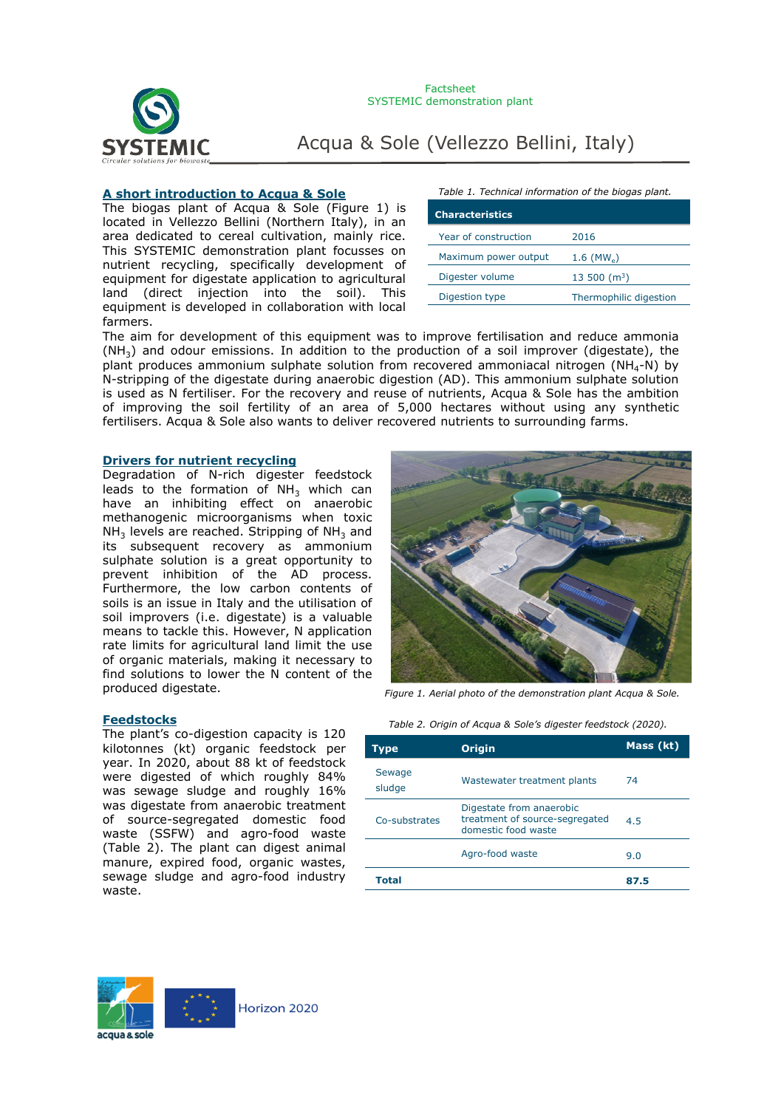

#### **A short introduction to Acqua & Sole**

The biogas plant of Acqua & Sole (Figure 1) is located in Vellezzo Bellini (Northern Italy), in an area dedicated to cereal cultivation, mainly rice. This SYSTEMIC demonstration plant focusses on nutrient recycling, specifically development of equipment for digestate application to agricultural land (direct injection into the soil). This equipment is developed in collaboration with local farmers.

*Table 1. Technical information of the biogas plant.*

| <b>Characteristics</b> |                            |
|------------------------|----------------------------|
| Year of construction   | 2016                       |
| Maximum power output   | $1.6$ (MW <sub>a</sub> )   |
| Digester volume        | $13,500$ (m <sup>3</sup> ) |
| Digestion type         | Thermophilic digestion     |

The aim for development of this equipment was to improve fertilisation and reduce ammonia  $(NH<sub>3</sub>)$  and odour emissions. In addition to the production of a soil improver (digestate), the plant produces ammonium sulphate solution from recovered ammoniacal nitrogen ( $NH<sub>4</sub>-N$ ) by N-stripping of the digestate during anaerobic digestion (AD). This ammonium sulphate solution is used as N fertiliser. For the recovery and reuse of nutrients, Acqua & Sole has the ambition of improving the soil fertility of an area of 5,000 hectares without using any synthetic fertilisers. Acqua & Sole also wants to deliver recovered nutrients to surrounding farms.

#### **Drivers for nutrient recycling**

Degradation of N-rich digester feedstock leads to the formation of  $NH<sub>3</sub>$  which can have an inhibiting effect on anaerobic methanogenic microorganisms when toxic  $NH<sub>3</sub>$  levels are reached. Stripping of NH<sub>3</sub> and its subsequent recovery as ammonium sulphate solution is a great opportunity to prevent inhibition of the AD process. Furthermore, the low carbon contents of soils is an issue in Italy and the utilisation of soil improvers (i.e. digestate) is a valuable means to tackle this. However, N application rate limits for agricultural land limit the use of organic materials, making it necessary to find solutions to lower the N content of the produced digestate.



*Figure 1. Aerial photo of the demonstration plant Acqua & Sole.*

The plant's co-digestion capacity is 120 kilotonnes (kt) organic feedstock per year. In 2020, about 88 kt of feedstock were digested of which roughly 84% was sewage sludge and roughly 16% was digestate from anaerobic treatment of source-segregated domestic food waste (SSFW) and agro-food waste (Table 2). The plant can digest animal manure, expired food, organic wastes, sewage sludge and agro-food industry waste.



| Type             | <b>Origin</b>                                                                     | Mass (kt) |
|------------------|-----------------------------------------------------------------------------------|-----------|
| Sewage<br>sludge | Wastewater treatment plants                                                       | 74        |
| Co-substrates    | Digestate from anaerobic<br>treatment of source-segregated<br>domestic food waste | 4.5       |
|                  | Agro-food waste                                                                   | 9.0       |
| Total            |                                                                                   | 87.5      |

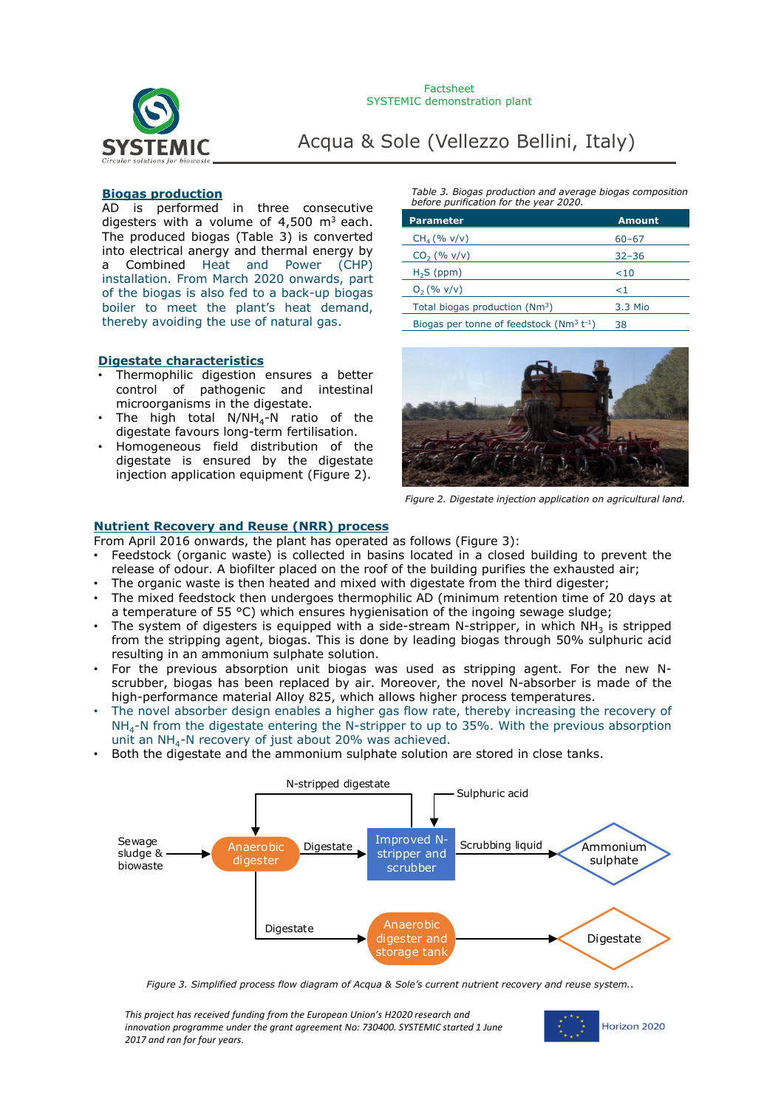

### **Biogas production**

AD is performed in three consecutive digesters with a volume of  $4,500$  m<sup>3</sup> each. The produced biogas (Table 3) is converted into electrical anergy and thermal energy by a Combined Heat and Power (CHP) installation. From March 2020 onwards, part of the biogas is also fed to a back-up biogas boiler to meet the plant's heat demand, thereby avoiding the use of natural gas.

#### **Digestate characteristics**

- Thermophilic digestion ensures a better control of pathogenic and intestinal microorganisms in the digestate.
- The high total  $N/NH_4-N$  ratio of the digestate favours long-term fertilisation.
- Homogeneous field distribution of the digestate is ensured by the digestate injection application equipment (Figure 2).

*Table 3. Biogas production and average biogas composition before purification for the year 2020.*

| <b>Parameter</b>                              | <b>Amount</b> |
|-----------------------------------------------|---------------|
| $CH_{4}$ (% v/v)                              | $60 - 67$     |
| $CO2$ (% $v/v$ )                              | $32 - 36$     |
| $H2S$ (ppm)                                   | $<$ 10        |
| $O_2$ (% v/v)                                 | ${<}1$        |
| Total biogas production (Nm <sup>3</sup> )    | 3.3 Mio       |
| Biogas per tonne of feedstock $(Nm^3 t^{-1})$ | 38            |

Biogas per tonne of feedstock  $(Nm^3 t^{-1})$  38



*Figure 2. Digestate injection application on agricultural land.* 

#### **Nutrient Recovery and Reuse (NRR) process**

From April 2016 onwards, the plant has operated as follows (Figure 3):

- Feedstock (organic waste) is collected in basins located in a closed building to prevent the release of odour. A biofilter placed on the roof of the building purifies the exhausted air;
- The organic waste is then heated and mixed with digestate from the third digester;
- The mixed feedstock then undergoes thermophilic AD (minimum retention time of 20 days at a temperature of 55  $^{\circ}$ C) which ensures hygienisation of the ingoing sewage sludge;
- The system of digesters is equipped with a side-stream N-stripper, in which  $NH<sub>3</sub>$  is stripped from the stripping agent, biogas. This is done by leading biogas through 50% sulphuric acid resulting in an ammonium sulphate solution.
- For the previous absorption unit biogas was used as stripping agent. For the new Nscrubber, biogas has been replaced by air. Moreover, the novel N-absorber is made of the high-performance material Alloy 825, which allows higher process temperatures.
- The novel absorber design enables a higher gas flow rate, thereby increasing the recovery of  $NH<sub>4</sub>$ -N from the digestate entering the N-stripper to up to 35%. With the previous absorption unit an NH<sub>4</sub>-N recovery of just about 20% was achieved.
- Both the digestate and the ammonium sulphate solution are stored in close tanks.



*Figure 3. Simplified process flow diagram of Acqua & Sole's current nutrient recovery and reuse system.*.

*This project has received funding from the European Union's H2020 research and innovation programme under the grant agreement No: 730400. SYSTEMIC started 1 June 2017 and ran for four years.*

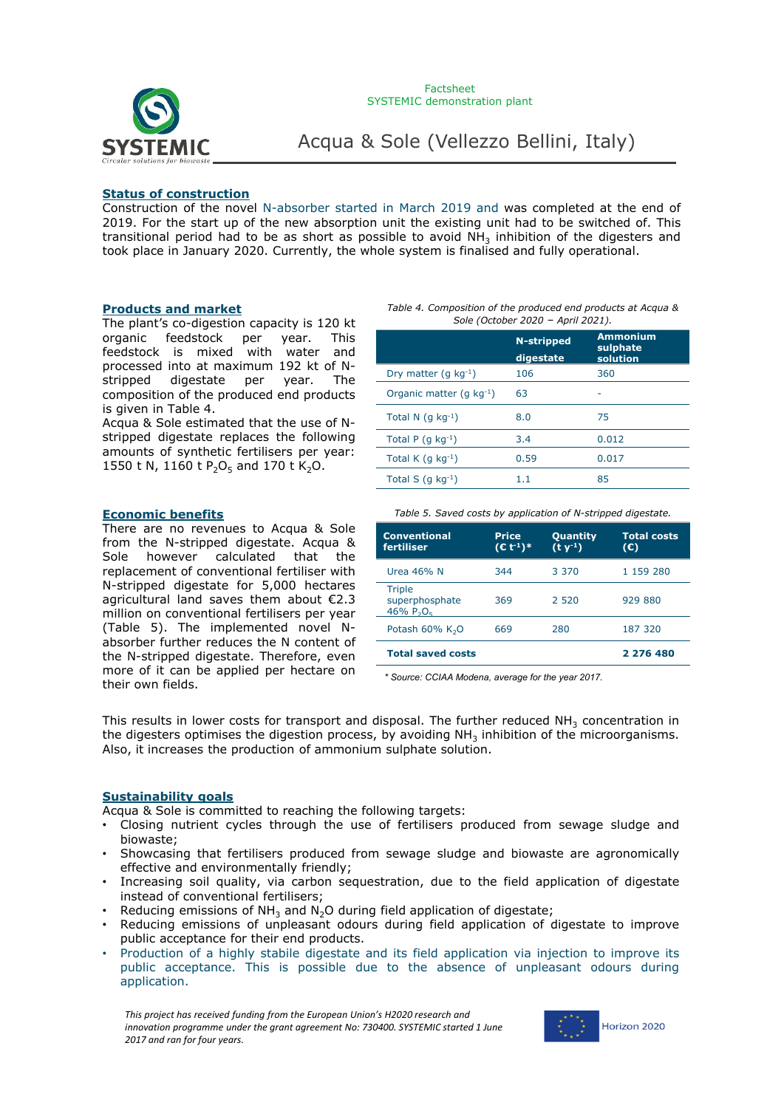

#### **Status of construction**

Construction of the novel N-absorber started in March 2019 and was completed at the end of 2019. For the start up of the new absorption unit the existing unit had to be switched of. This transitional period had to be as short as possible to avoid  $NH_3$  inhibition of the digesters and took place in January 2020. Currently, the whole system is finalised and fully operational.

#### **Products and market**

The plant's co-digestion capacity is 120 kt organic feedstock per year. This feedstock is mixed with water and processed into at maximum 192 kt of Nstripped digestate per year. The composition of the produced end products is given in Table 4.

Acqua & Sole estimated that the use of Nstripped digestate replaces the following amounts of synthetic fertilisers per year: 1550 t N, 1160 t  $P_2O_5$  and 170 t K<sub>2</sub>O.

#### **Economic benefits**

There are no revenues to Acqua & Sole from the N-stripped digestate. Acqua & Sole however calculated that the replacement of conventional fertiliser with N-stripped digestate for 5,000 hectares agricultural land saves them about €2.3 million on conventional fertilisers per year (Table 5). The implemented novel Nabsorber further reduces the N content of the N-stripped digestate. Therefore, even more of it can be applied per hectare on their own fields.

*Table 4. Composition of the produced end products at Acqua & Sole (October 2020* – *April 2021).*

|                               | N-stripped<br>digestate | <b>Ammonium</b><br>sulphate<br>solution |  |
|-------------------------------|-------------------------|-----------------------------------------|--|
| Dry matter $(q kq^{-1})$      | 106                     | 360                                     |  |
| Organic matter (g $kq^{-1}$ ) | 63                      |                                         |  |
| Total N $(q kq^{-1})$         | 8.0                     | 75                                      |  |
| Total P $(q kq^{-1})$         | 3.4                     | 0.012                                   |  |
| Total K $(q kq^{-1})$         | 0.59                    | 0.017                                   |  |
| Total S $(q kq^{-1})$         | 1.1                     | 85                                      |  |

*Table 5. Saved costs by application of N-stripped digestate.*

| <b>Conventional</b><br>fertiliser               | <b>Price</b><br>$(E t-1)$ <sup>*</sup> | <b>Quantity</b><br>$(t v-1)$ | <b>Total costs</b><br>$\mathcal{L}(\mathbb{C})$ |
|-------------------------------------------------|----------------------------------------|------------------------------|-------------------------------------------------|
| Urea 46% N                                      | 344                                    | 3.370                        | 1 159 280                                       |
| <b>Triple</b><br>superphosphate<br>46% $P_2O_5$ | 369                                    | 2 5 2 0                      | 929 880                                         |
| Potash $60\%$ K <sub>2</sub> O                  | 669                                    | 280                          | 187 320                                         |
| <b>Total saved costs</b>                        |                                        |                              | 2 276 480                                       |

*\* Source: CCIAA Modena, average for the year 2017.*

This results in lower costs for transport and disposal. The further reduced  $NH<sub>3</sub>$  concentration in the digesters optimises the digestion process, by avoiding NH<sub>2</sub> inhibition of the microorganisms. Also, it increases the production of ammonium sulphate solution.

#### **Sustainability goals**

Acqua & Sole is committed to reaching the following targets:

- Closing nutrient cycles through the use of fertilisers produced from sewage sludge and biowaste;
- Showcasing that fertilisers produced from sewage sludge and biowaste are agronomically effective and environmentally friendly;
- Increasing soil quality, via carbon sequestration, due to the field application of digestate instead of conventional fertilisers;
- Reducing emissions of  $NH_3$  and N<sub>2</sub>O during field application of digestate;
- Reducing emissions of unpleasant odours during field application of digestate to improve public acceptance for their end products.
- Production of a highly stabile digestate and its field application via injection to improve its public acceptance. This is possible due to the absence of unpleasant odours during application.

*This project has received funding from the European Union's H2020 research and innovation programme under the grant agreement No: 730400. SYSTEMIC started 1 June 2017 and ran for four years.*

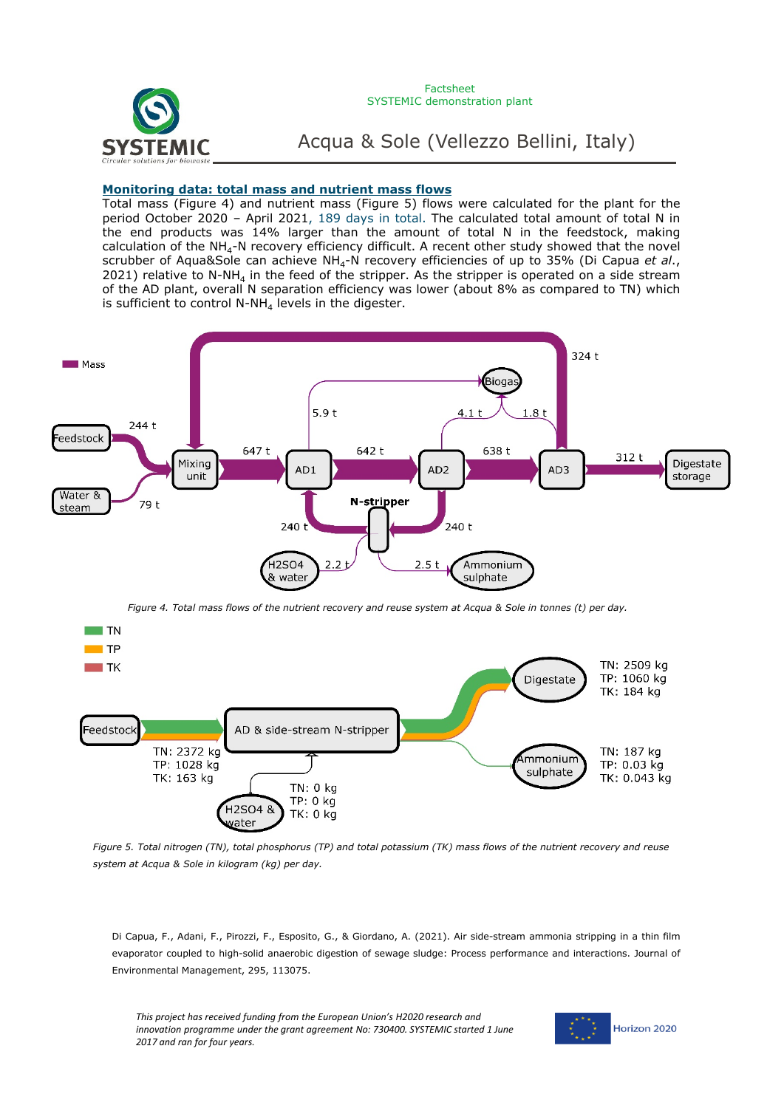

#### Factsheet SYSTEMIC demonstration plant

Acqua & Sole (Vellezzo Bellini, Italy)

### **Monitoring data: total mass and nutrient mass flows**

Total mass (Figure 4) and nutrient mass (Figure 5) flows were calculated for the plant for the period October 2020 – April 2021, 189 days in total. The calculated total amount of total N in the end products was 14% larger than the amount of total N in the feedstock, making calculation of the  $NH<sub>4</sub>-N$  recovery efficiency difficult. A recent other study showed that the novel scrubber of Aqua&Sole can achieve NH4-N recovery efficiencies of up to 35% (Di Capua *et al*., 2021) relative to N-NH<sub>4</sub> in the feed of the stripper. As the stripper is operated on a side stream of the AD plant, overall N separation efficiency was lower (about 8% as compared to TN) which is sufficient to control N-NH<sub>4</sub> levels in the digester.



*Figure 4. Total mass flows of the nutrient recovery and reuse system at Acqua & Sole in tonnes (t) per day.* 



*Figure 5. Total nitrogen (TN), total phosphorus (TP) and total potassium (TK) mass flows of the nutrient recovery and reuse system at Acqua & Sole in kilogram (kg) per day.* 

Di Capua, F., Adani, F., Pirozzi, F., Esposito, G., & Giordano, A. (2021). Air side-stream ammonia stripping in a thin film evaporator coupled to high-solid anaerobic digestion of sewage sludge: Process performance and interactions. Journal of Environmental Management, 295, 113075.

*This project has received funding from the European Union's H2020 research and innovation programme under the grant agreement No: 730400. SYSTEMIC started 1 June 2017 and ran for four years.*